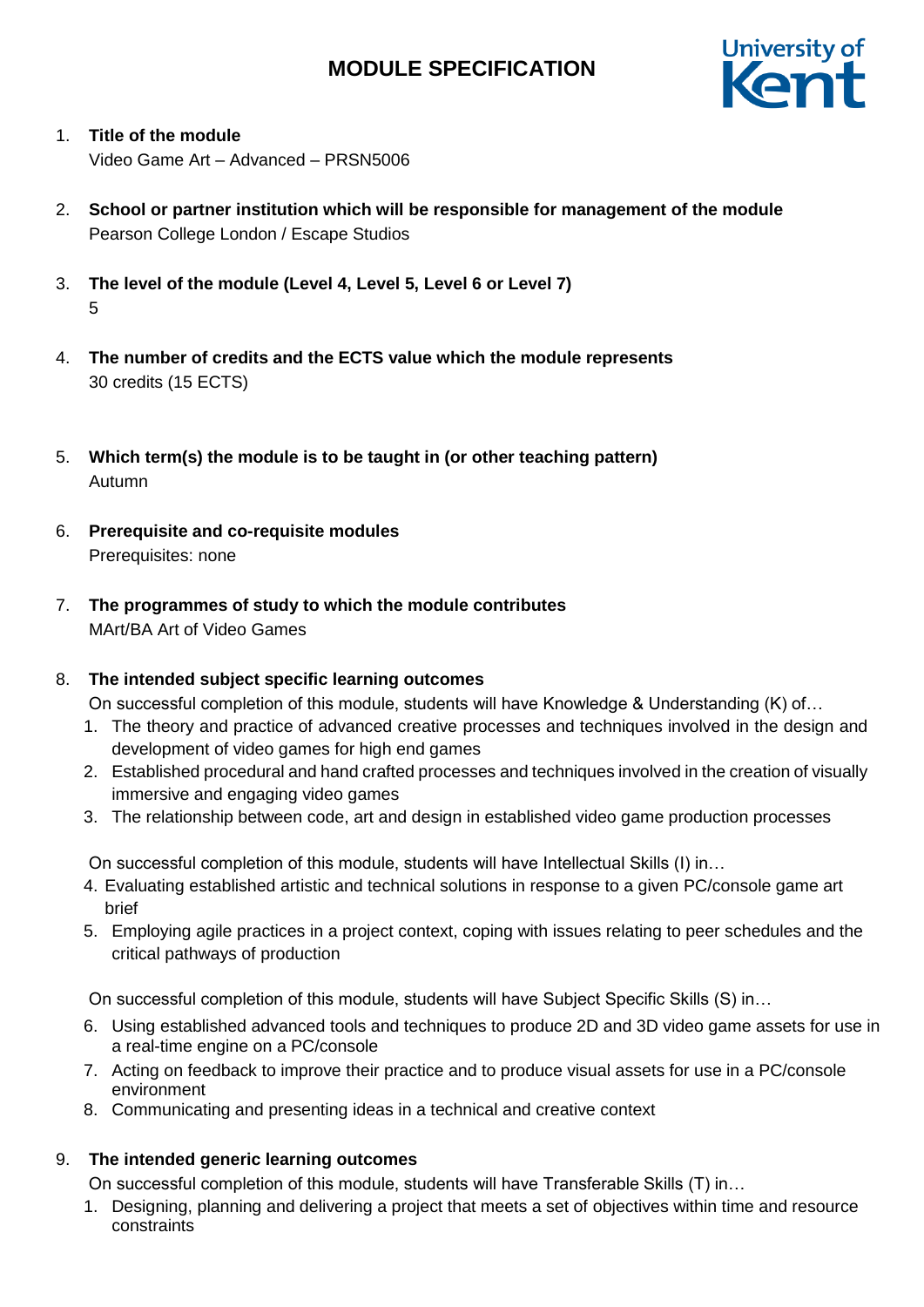

- 1. **Title of the module** Video Game Art – Advanced – PRSN5006
- 2. **School or partner institution which will be responsible for management of the module** Pearson College London / Escape Studios
- 3. **The level of the module (Level 4, Level 5, Level 6 or Level 7)** 5
- 4. **The number of credits and the ECTS value which the module represents**  30 credits (15 ECTS)
- 5. **Which term(s) the module is to be taught in (or other teaching pattern)** Autumn
- 6. **Prerequisite and co-requisite modules** Prerequisites: none
- 7. **The programmes of study to which the module contributes** MArt/BA Art of Video Games

# 8. **The intended subject specific learning outcomes**

On successful completion of this module, students will have Knowledge & Understanding (K) of…

- 1. The theory and practice of advanced creative processes and techniques involved in the design and development of video games for high end games
- 2. Established procedural and hand crafted processes and techniques involved in the creation of visually immersive and engaging video games
- 3. The relationship between code, art and design in established video game production processes

On successful completion of this module, students will have Intellectual Skills (I) in…

- 4. Evaluating established artistic and technical solutions in response to a given PC/console game art brief
- 5. Employing agile practices in a project context, coping with issues relating to peer schedules and the critical pathways of production

On successful completion of this module, students will have Subject Specific Skills (S) in…

- 6. Using established advanced tools and techniques to produce 2D and 3D video game assets for use in a real-time engine on a PC/console
- 7. Acting on feedback to improve their practice and to produce visual assets for use in a PC/console environment
- 8. Communicating and presenting ideas in a technical and creative context

# 9. **The intended generic learning outcomes**

On successful completion of this module, students will have Transferable Skills (T) in…

1. Designing, planning and delivering a project that meets a set of objectives within time and resource constraints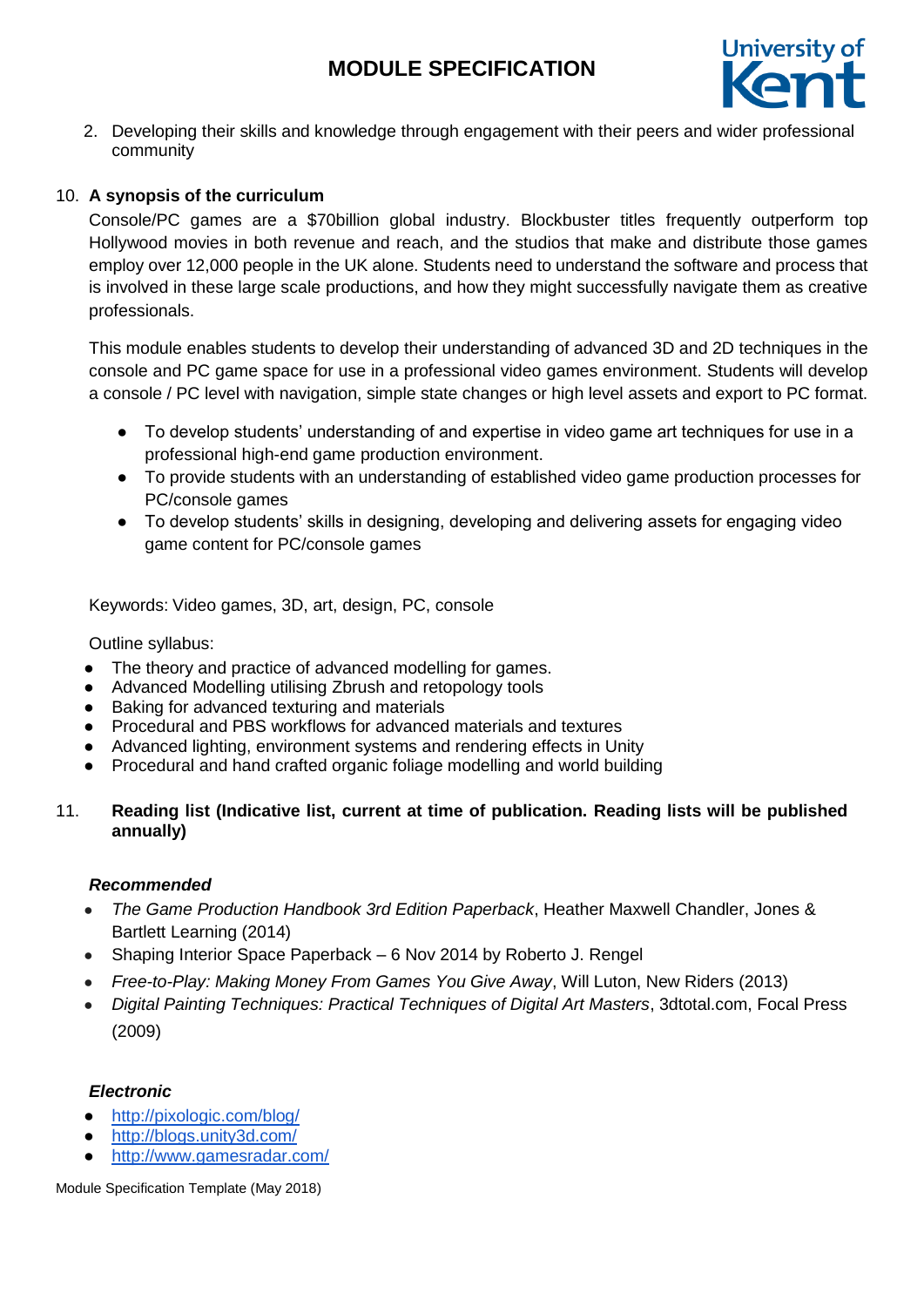

2. Developing their skills and knowledge through engagement with their peers and wider professional community

# 10. **A synopsis of the curriculum**

Console/PC games are a \$70billion global industry. Blockbuster titles frequently outperform top Hollywood movies in both revenue and reach, and the studios that make and distribute those games employ over 12,000 people in the UK alone. Students need to understand the software and process that is involved in these large scale productions, and how they might successfully navigate them as creative professionals.

This module enables students to develop their understanding of advanced 3D and 2D techniques in the console and PC game space for use in a professional video games environment. Students will develop a console / PC level with navigation, simple state changes or high level assets and export to PC format.

- To develop students' understanding of and expertise in video game art techniques for use in a professional high-end game production environment.
- To provide students with an understanding of established video game production processes for PC/console games
- To develop students' skills in designing, developing and delivering assets for engaging video game content for PC/console games

Keywords: Video games, 3D, art, design, PC, console

Outline syllabus:

- The theory and practice of advanced modelling for games.
- Advanced Modelling utilising Zbrush and retopology tools
- Baking for advanced texturing and materials
- Procedural and PBS workflows for advanced materials and textures
- Advanced lighting, environment systems and rendering effects in Unity
- Procedural and hand crafted organic foliage modelling and world building

# 11. **Reading list (Indicative list, current at time of publication. Reading lists will be published annually)**

## *Recommended*

- *The Game Production Handbook 3rd Edition Paperback*, Heather Maxwell Chandler, Jones & Bartlett Learning (2014)
- Shaping Interior Space Paperback 6 Nov 2014 by Roberto J. Rengel
- *Free-to-Play: Making Money From Games You Give Away*, Will Luton, New Riders (2013)
- *Digital Painting Techniques: Practical Techniques of Digital Art Masters*, 3dtotal.com, Focal Press (2009)

## *Electronic*

- <http://pixologic.com/blog/>
- <http://blogs.unity3d.com/>
- <http://www.gamesradar.com/>

Module Specification Template (May 2018)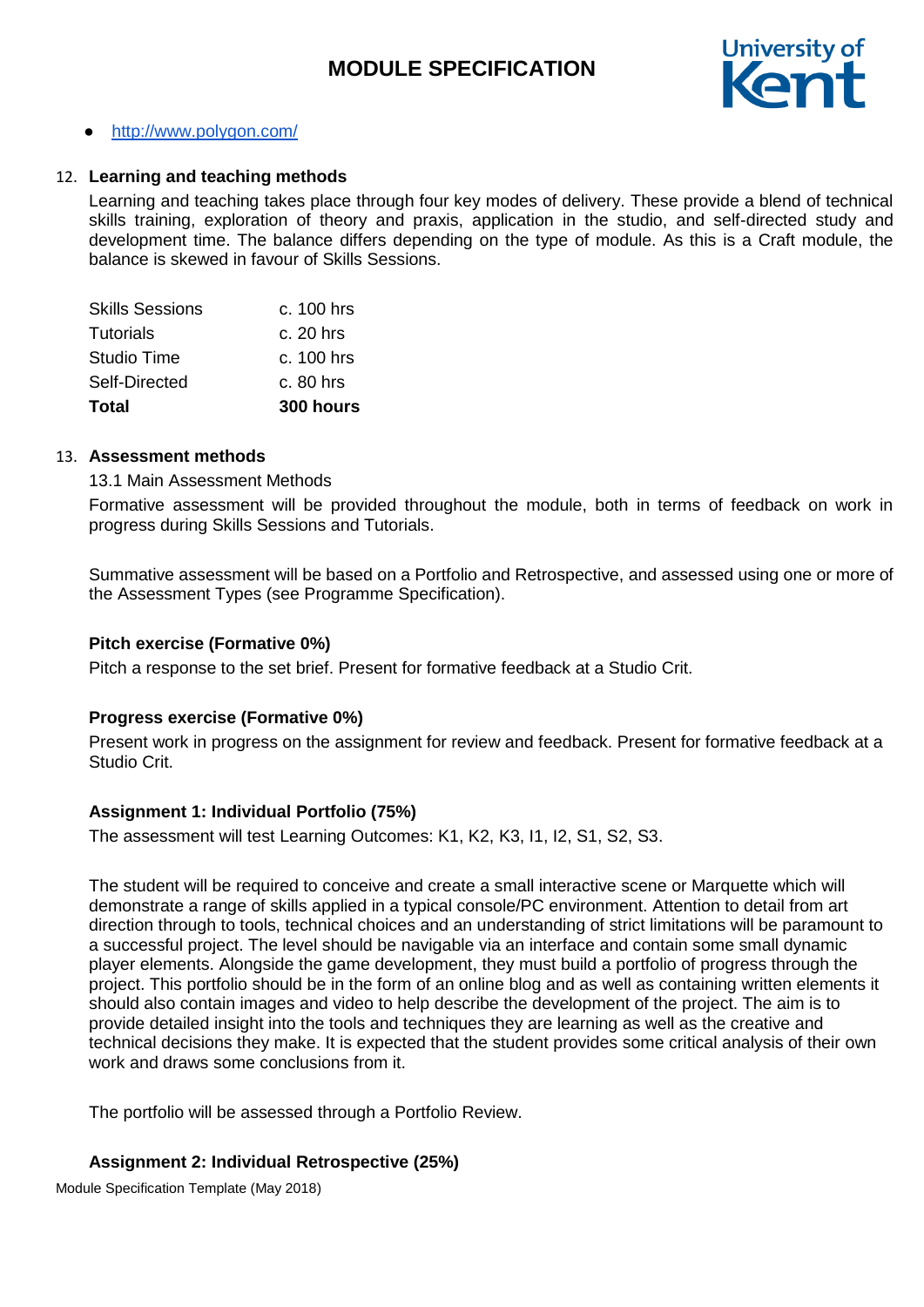

## <http://www.polygon.com/>

#### 12. **Learning and teaching methods**

Learning and teaching takes place through four key modes of delivery. These provide a blend of technical skills training, exploration of theory and praxis, application in the studio, and self-directed study and development time. The balance differs depending on the type of module. As this is a Craft module, the balance is skewed in favour of Skills Sessions.

| Total                  | 300 hours  |
|------------------------|------------|
| Self-Directed          | c. 80 hrs  |
| Studio Time            | c. 100 hrs |
| Tutorials              | c. 20 hrs  |
| <b>Skills Sessions</b> | c. 100 hrs |

#### 13. **Assessment methods**

#### 13.1 Main Assessment Methods

Formative assessment will be provided throughout the module, both in terms of feedback on work in progress during Skills Sessions and Tutorials.

Summative assessment will be based on a Portfolio and Retrospective, and assessed using one or more of the Assessment Types (see Programme Specification).

#### **Pitch exercise (Formative 0%)**

Pitch a response to the set brief. Present for formative feedback at a Studio Crit.

## **Progress exercise (Formative 0%)**

Present work in progress on the assignment for review and feedback. Present for formative feedback at a Studio Crit.

## **Assignment 1: Individual Portfolio (75%)**

The assessment will test Learning Outcomes: K1, K2, K3, I1, I2, S1, S2, S3.

The student will be required to conceive and create a small interactive scene or Marquette which will demonstrate a range of skills applied in a typical console/PC environment. Attention to detail from art direction through to tools, technical choices and an understanding of strict limitations will be paramount to a successful project. The level should be navigable via an interface and contain some small dynamic player elements. Alongside the game development, they must build a portfolio of progress through the project. This portfolio should be in the form of an online blog and as well as containing written elements it should also contain images and video to help describe the development of the project. The aim is to provide detailed insight into the tools and techniques they are learning as well as the creative and technical decisions they make. It is expected that the student provides some critical analysis of their own work and draws some conclusions from it.

The portfolio will be assessed through a Portfolio Review.

## **Assignment 2: Individual Retrospective (25%)**

Module Specification Template (May 2018)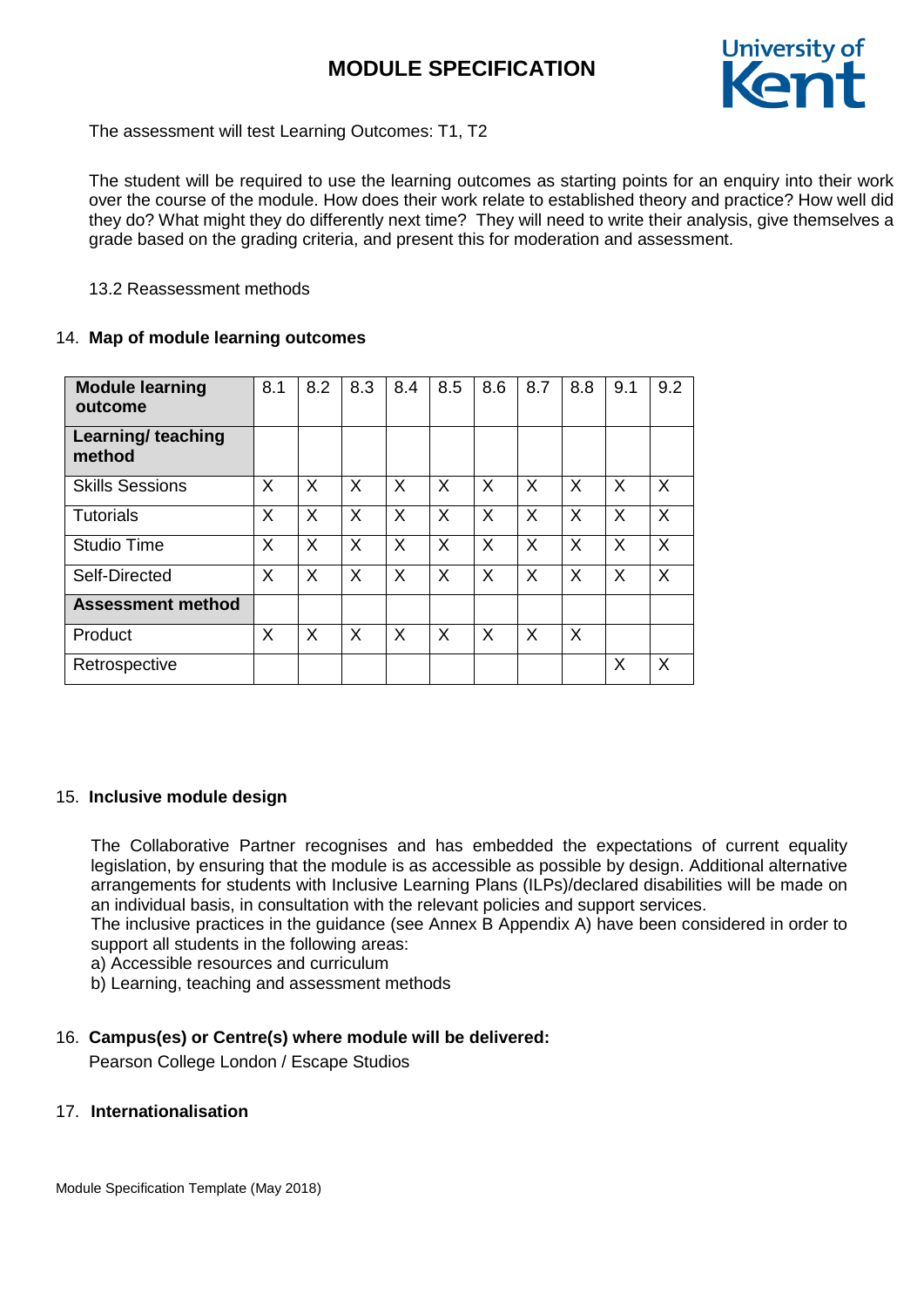

The assessment will test Learning Outcomes: T1, T2

The student will be required to use the learning outcomes as starting points for an enquiry into their work over the course of the module. How does their work relate to established theory and practice? How well did they do? What might they do differently next time? They will need to write their analysis, give themselves a grade based on the grading criteria, and present this for moderation and assessment.

## 13.2 Reassessment methods

## 14. **Map of module learning outcomes**

| <b>Module learning</b><br>outcome   | 8.1 | 8.2 | 8.3 | 8.4 | 8.5 | 8.6          | 8.7 | 8.8 | 9.1 | 9.2 |
|-------------------------------------|-----|-----|-----|-----|-----|--------------|-----|-----|-----|-----|
| <b>Learning/ teaching</b><br>method |     |     |     |     |     |              |     |     |     |     |
| <b>Skills Sessions</b>              | X   | X   | X   | X   | X   | $\mathsf{X}$ | X   | X   | X   | X   |
| <b>Tutorials</b>                    | X   | X   | X   | X   | X   | $\mathsf{X}$ | X   | X   | X   | X   |
| <b>Studio Time</b>                  | X   | X   | X   | X   | X   | $\mathsf{X}$ | X   | X   | X   | X   |
| Self-Directed                       | X   | X   | X   | X   | X   | $\sf X$      | X   | X   | X   | X   |
| <b>Assessment method</b>            |     |     |     |     |     |              |     |     |     |     |
| Product                             | X   | X   | X   | X   | X   | $\times$     | X   | X   |     |     |
| Retrospective                       |     |     |     |     |     |              |     |     | X   | X   |

# 15. **Inclusive module design**

The Collaborative Partner recognises and has embedded the expectations of current equality legislation, by ensuring that the module is as accessible as possible by design. Additional alternative arrangements for students with Inclusive Learning Plans (ILPs)/declared disabilities will be made on an individual basis, in consultation with the relevant policies and support services.

The inclusive practices in the guidance (see Annex B Appendix A) have been considered in order to support all students in the following areas:

a) Accessible resources and curriculum

b) Learning, teaching and assessment methods

# 16. **Campus(es) or Centre(s) where module will be delivered:**

Pearson College London / Escape Studios

## 17. **Internationalisation**